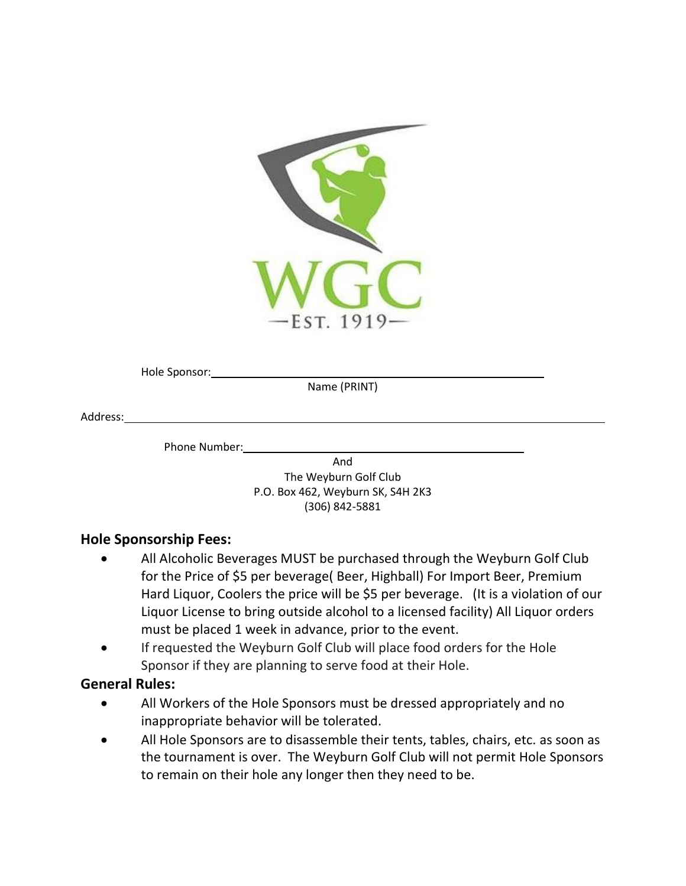

Hole Sponsor:

Name (PRINT)

Address:

Phone Number:

And The Weyburn Golf Club P.O. Box 462, Weyburn SK, S4H 2K3 (306) 842-5881

## **Hole Sponsorship Fees:**

- All Alcoholic Beverages MUST be purchased through the Weyburn Golf Club for the Price of \$5 per beverage( Beer, Highball) For Import Beer, Premium Hard Liquor, Coolers the price will be \$5 per beverage. (It is a violation of our Liquor License to bring outside alcohol to a licensed facility) All Liquor orders must be placed 1 week in advance, prior to the event.
- If requested the Weyburn Golf Club will place food orders for the Hole Sponsor if they are planning to serve food at their Hole.

## **General Rules:**

- All Workers of the Hole Sponsors must be dressed appropriately and no inappropriate behavior will be tolerated.
- All Hole Sponsors are to disassemble their tents, tables, chairs, etc. as soon as the tournament is over. The Weyburn Golf Club will not permit Hole Sponsors to remain on their hole any longer then they need to be.